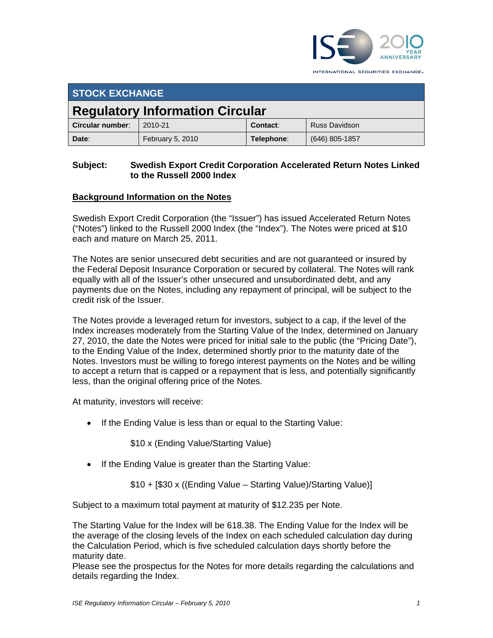

INTERNATIONAL SECURITIES EXCHANGE.

| <b>STOCK EXCHANGE</b>                  |                  |            |                      |
|----------------------------------------|------------------|------------|----------------------|
| <b>Regulatory Information Circular</b> |                  |            |                      |
| Circular number:                       | 2010-21          | Contact:   | <b>Russ Davidson</b> |
| Date:                                  | February 5, 2010 | Telephone: | $(646)$ 805-1857     |

#### **Subject: Swedish Export Credit Corporation Accelerated Return Notes Linked to the Russell 2000 Index**

# **Background Information on the Notes**

Swedish Export Credit Corporation (the "Issuer") has issued Accelerated Return Notes ("Notes") linked to the Russell 2000 Index (the "Index"). The Notes were priced at \$10 each and mature on March 25, 2011.

The Notes are senior unsecured debt securities and are not guaranteed or insured by the Federal Deposit Insurance Corporation or secured by collateral. The Notes will rank equally with all of the Issuer's other unsecured and unsubordinated debt, and any payments due on the Notes, including any repayment of principal, will be subject to the credit risk of the Issuer.

The Notes provide a leveraged return for investors, subject to a cap, if the level of the Index increases moderately from the Starting Value of the Index, determined on January 27, 2010, the date the Notes were priced for initial sale to the public (the "Pricing Date"), to the Ending Value of the Index, determined shortly prior to the maturity date of the Notes. Investors must be willing to forego interest payments on the Notes and be willing to accept a return that is capped or a repayment that is less, and potentially significantly less, than the original offering price of the Notes.

At maturity, investors will receive:

• If the Ending Value is less than or equal to the Starting Value:

\$10 x (Ending Value/Starting Value)

• If the Ending Value is greater than the Starting Value:

\$10 + [\$30 x ((Ending Value – Starting Value)/Starting Value)]

Subject to a maximum total payment at maturity of \$12.235 per Note.

The Starting Value for the Index will be 618.38. The Ending Value for the Index will be the average of the closing levels of the Index on each scheduled calculation day during the Calculation Period, which is five scheduled calculation days shortly before the maturity date.

Please see the prospectus for the Notes for more details regarding the calculations and details regarding the Index.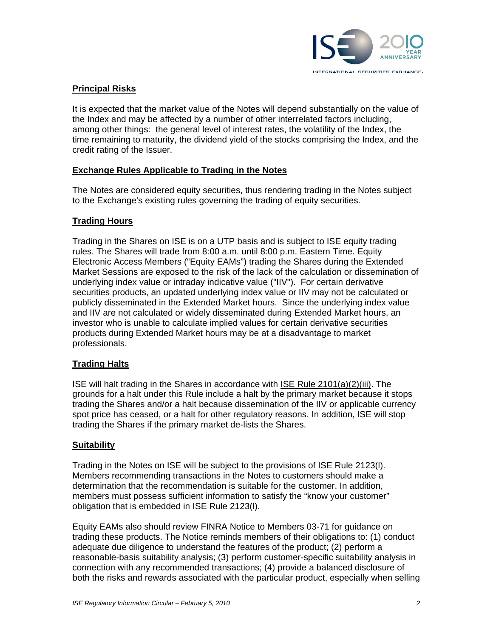

### **Principal Risks**

It is expected that the market value of the Notes will depend substantially on the value of the Index and may be affected by a number of other interrelated factors including, among other things: the general level of interest rates, the volatility of the Index, the time remaining to maturity, the dividend yield of the stocks comprising the Index, and the credit rating of the Issuer.

#### **Exchange Rules Applicable to Trading in the Notes**

The Notes are considered equity securities, thus rendering trading in the Notes subject to the Exchange's existing rules governing the trading of equity securities.

#### **Trading Hours**

Trading in the Shares on ISE is on a UTP basis and is subject to ISE equity trading rules. The Shares will trade from 8:00 a.m. until 8:00 p.m. Eastern Time. Equity Electronic Access Members ("Equity EAMs") trading the Shares during the Extended Market Sessions are exposed to the risk of the lack of the calculation or dissemination of underlying index value or intraday indicative value ("IIV"). For certain derivative securities products, an updated underlying index value or IIV may not be calculated or publicly disseminated in the Extended Market hours. Since the underlying index value and IIV are not calculated or widely disseminated during Extended Market hours, an investor who is unable to calculate implied values for certain derivative securities products during Extended Market hours may be at a disadvantage to market professionals.

#### **Trading Halts**

ISE will halt trading in the Shares in accordance with ISE Rule 2101(a)(2)(iii). The grounds for a halt under this Rule include a halt by the primary market because it stops trading the Shares and/or a halt because dissemination of the IIV or applicable currency spot price has ceased, or a halt for other regulatory reasons. In addition, ISE will stop trading the Shares if the primary market de-lists the Shares.

#### **Suitability**

Trading in the Notes on ISE will be subject to the provisions of ISE Rule 2123(l). Members recommending transactions in the Notes to customers should make a determination that the recommendation is suitable for the customer. In addition, members must possess sufficient information to satisfy the "know your customer" obligation that is embedded in ISE Rule 2123(l).

Equity EAMs also should review FINRA Notice to Members 03-71 for guidance on trading these products. The Notice reminds members of their obligations to: (1) conduct adequate due diligence to understand the features of the product; (2) perform a reasonable-basis suitability analysis; (3) perform customer-specific suitability analysis in connection with any recommended transactions; (4) provide a balanced disclosure of both the risks and rewards associated with the particular product, especially when selling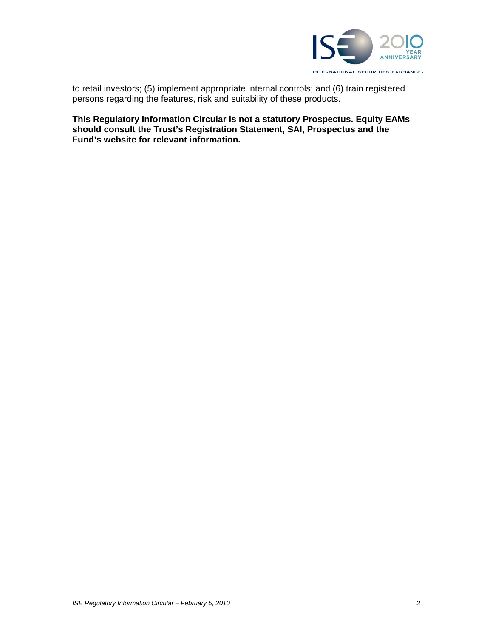

to retail investors; (5) implement appropriate internal controls; and (6) train registered persons regarding the features, risk and suitability of these products.

**This Regulatory Information Circular is not a statutory Prospectus. Equity EAMs should consult the Trust's Registration Statement, SAI, Prospectus and the Fund's website for relevant information.**